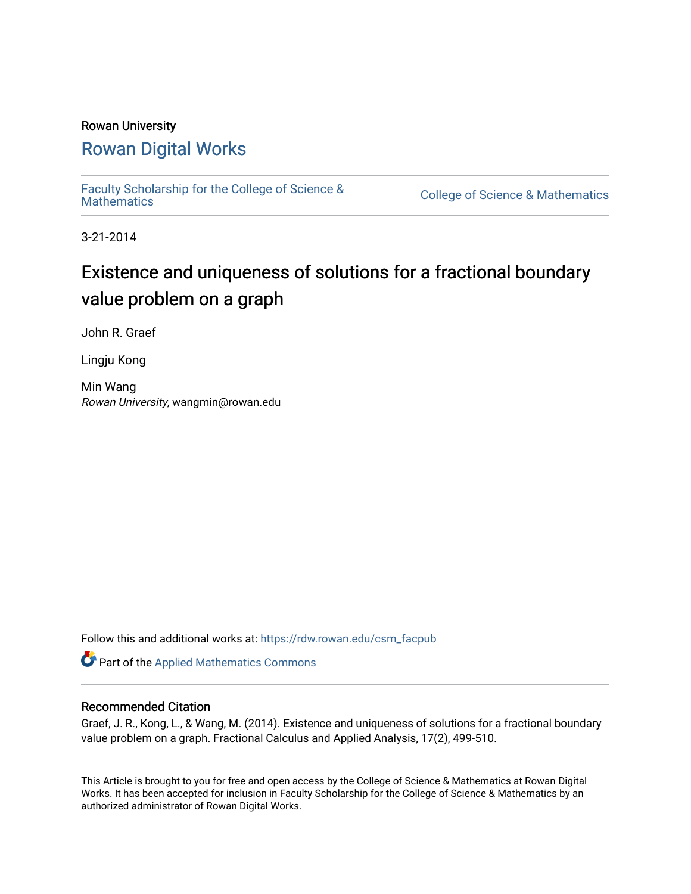## Rowan University [Rowan Digital Works](https://rdw.rowan.edu/)

[Faculty Scholarship for the College of Science &](https://rdw.rowan.edu/csm_facpub) 

College of Science & [Mathematics](https://rdw.rowan.edu/csm_facpub)

3-21-2014

# Existence and uniqueness of solutions for a fractional boundary value problem on a graph

John R. Graef

Lingju Kong

Min Wang Rowan University, wangmin@rowan.edu

Follow this and additional works at: [https://rdw.rowan.edu/csm\\_facpub](https://rdw.rowan.edu/csm_facpub?utm_source=rdw.rowan.edu%2Fcsm_facpub%2F51&utm_medium=PDF&utm_campaign=PDFCoverPages) 

Part of the [Applied Mathematics Commons](http://network.bepress.com/hgg/discipline/115?utm_source=rdw.rowan.edu%2Fcsm_facpub%2F51&utm_medium=PDF&utm_campaign=PDFCoverPages)

### Recommended Citation

Graef, J. R., Kong, L., & Wang, M. (2014). Existence and uniqueness of solutions for a fractional boundary value problem on a graph. Fractional Calculus and Applied Analysis, 17(2), 499-510.

This Article is brought to you for free and open access by the College of Science & Mathematics at Rowan Digital Works. It has been accepted for inclusion in Faculty Scholarship for the College of Science & Mathematics by an authorized administrator of Rowan Digital Works.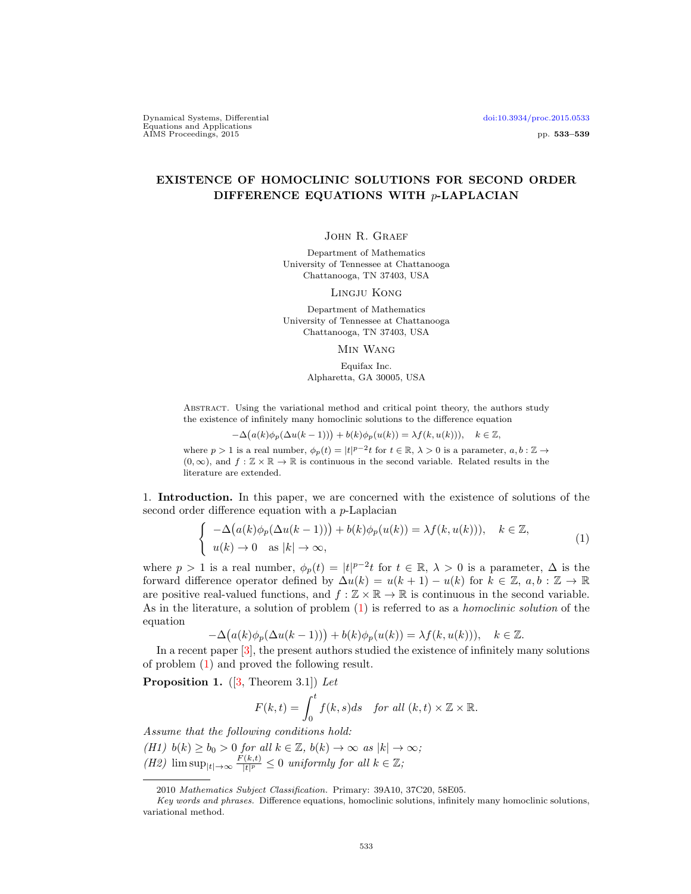Dynamical Systems, Differential [doi:10.3934/proc.2015.0533](http://dx.doi.org/10.3934/proc.2015.0533) Equations and Applications<br>
AIMS Proceedings, 2015 pp. 533–539

### EXISTENCE OF HOMOCLINIC SOLUTIONS FOR SECOND ORDER DIFFERENCE EQUATIONS WITH p-LAPLACIAN

JOHN R. GRAEF

Department of Mathematics University of Tennessee at Chattanooga Chattanooga, TN 37403, USA

Lingju Kong

Department of Mathematics University of Tennessee at Chattanooga Chattanooga, TN 37403, USA

Min Wang

Equifax Inc. Alpharetta, GA 30005, USA

Abstract. Using the variational method and critical point theory, the authors study the existence of infinitely many homoclinic solutions to the difference equation

$$
-\Delta(a(k)\phi_p(\Delta u(k-1))) + b(k)\phi_p(u(k)) = \lambda f(k, u(k))), \quad k \in \mathbb{Z},
$$

where  $p > 1$  is a real number,  $\phi_p(t) = |t|^{p-2}t$  for  $t \in \mathbb{R}, \lambda > 0$  is a parameter,  $a, b : \mathbb{Z} \to$  $(0, \infty)$ , and  $f : \mathbb{Z} \times \mathbb{R} \to \mathbb{R}$  is continuous in the second variable. Related results in the literature are extended.

1. Introduction. In this paper, we are concerned with the existence of solutions of the second order difference equation with a p-Laplacian

<span id="page-1-0"></span>
$$
\begin{cases}\n-\Delta(a(k)\phi_p(\Delta u(k-1))) + b(k)\phi_p(u(k)) = \lambda f(k, u(k))), & k \in \mathbb{Z}, \\
u(k) \to 0 \text{ as } |k| \to \infty,\n\end{cases}
$$
\n(1)

where  $p > 1$  is a real number,  $\phi_p(t) = |t|^{p-2}t$  for  $t \in \mathbb{R}, \lambda > 0$  is a parameter,  $\Delta$  is the forward difference operator defined by  $\Delta u(k) = u(k+1) - u(k)$  for  $k \in \mathbb{Z}$ ,  $a, b : \mathbb{Z} \to \mathbb{R}$ are positive real-valued functions, and  $f : \mathbb{Z} \times \mathbb{R} \to \mathbb{R}$  is continuous in the second variable. As in the literature, a solution of problem [\(1\)](#page-1-0) is referred to as a homoclinic solution of the equation

$$
-\Delta(a(k)\phi_p(\Delta u(k-1))) + b(k)\phi_p(u(k)) = \lambda f(k, u(k))), \quad k \in \mathbb{Z}.
$$

In a recent paper [\[3\]](#page-7-0), the present authors studied the existence of infinitely many solutions of problem [\(1\)](#page-1-0) and proved the following result.

<span id="page-1-1"></span>**Proposition 1.** ([\[3,](#page-7-0) Theorem 3.1]) Let

$$
F(k,t) = \int_0^t f(k,s)ds \quad \text{for all } (k,t) \times \mathbb{Z} \times \mathbb{R}.
$$

Assume that the following conditions hold:

(H1)  $b(k) \ge b_0 > 0$  for all  $k \in \mathbb{Z}$ ,  $b(k) \to \infty$  as  $|k| \to \infty$ ;

(H2)  $\limsup_{|t|\to\infty} \frac{F(k,t)}{|t|^p}$  $\frac{f(k,t)}{|t|^p} \leq 0$  uniformly for all  $k \in \mathbb{Z}$ ;

<sup>2010</sup> Mathematics Subject Classification. Primary: 39A10, 37C20, 58E05.

Key words and phrases. Difference equations, homoclinic solutions, infinitely many homoclinic solutions, variational method.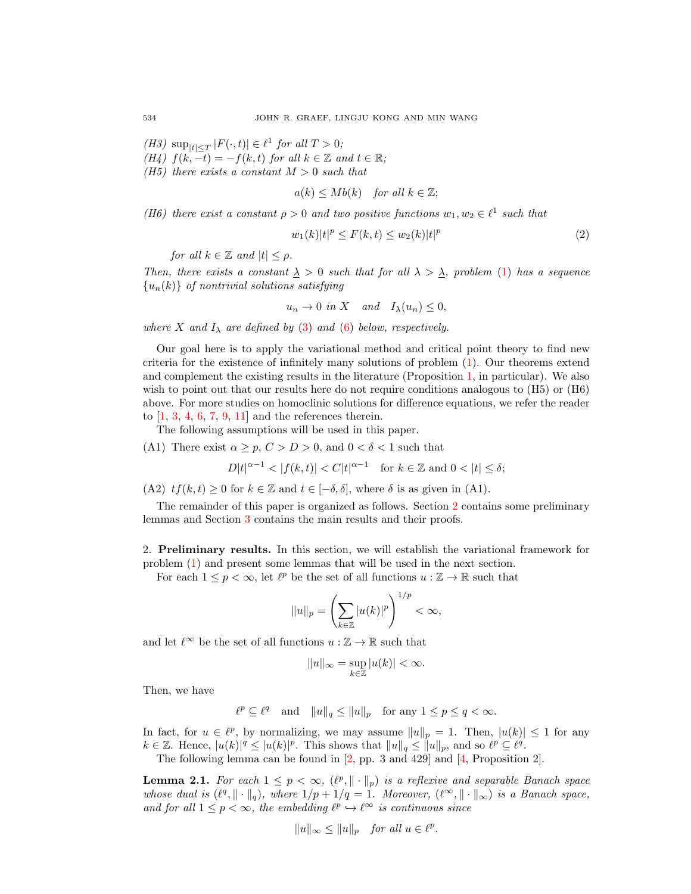(H3)  $\sup_{|t| \leq T} |F(\cdot, t)| \in \ell^1$  for all  $T > 0$ ;

(H4)  $f(k,-t) = -f(k,t)$  for all  $k \in \mathbb{Z}$  and  $t \in \mathbb{R}$ ;

(H5) there exists a constant  $M > 0$  such that

$$
a(k) \leq Mb(k)
$$
 for all  $k \in \mathbb{Z}$ ;

(H6) there exist a constant  $\rho > 0$  and two positive functions  $w_1, w_2 \in \ell^1$  such that

$$
w_1(k)|t|^p \le F(k,t) \le w_2(k)|t|^p \tag{2}
$$

for all  $k \in \mathbb{Z}$  and  $|t| \leq \rho$ .

Then, there exists a constant  $\Delta > 0$  such that for all  $\lambda > \Delta$ , problem [\(1\)](#page-1-0) has a sequence  ${u_n(k)}$  of nontrivial solutions satisfying

$$
u_n \to 0
$$
 in X and  $I_{\lambda}(u_n) \leq 0$ ,

where X and  $I_{\lambda}$  are defined by [\(3\)](#page-3-0) and [\(6\)](#page-3-1) below, respectively.

Our goal here is to apply the variational method and critical point theory to find new criteria for the existence of infinitely many solutions of problem [\(1\)](#page-1-0). Our theorems extend and complement the existing results in the literature (Proposition [1,](#page-1-1) in particular). We also wish to point out that our results here do not require conditions analogous to (H5) or (H6) above. For more studies on homoclinic solutions for difference equations, we refer the reader to  $[1, 3, 4, 6, 7, 9, 11]$  $[1, 3, 4, 6, 7, 9, 11]$  $[1, 3, 4, 6, 7, 9, 11]$  $[1, 3, 4, 6, 7, 9, 11]$  $[1, 3, 4, 6, 7, 9, 11]$  $[1, 3, 4, 6, 7, 9, 11]$  $[1, 3, 4, 6, 7, 9, 11]$  $[1, 3, 4, 6, 7, 9, 11]$  $[1, 3, 4, 6, 7, 9, 11]$  $[1, 3, 4, 6, 7, 9, 11]$  $[1, 3, 4, 6, 7, 9, 11]$  $[1, 3, 4, 6, 7, 9, 11]$  and the references therein.

The following assumptions will be used in this paper.

(A1) There exist  $\alpha \geq p, C > D > 0$ , and  $0 < \delta < 1$  such that

$$
D|t|^{\alpha-1}<|f(k,t)|
$$

(A2)  $tf(k, t) \geq 0$  for  $k \in \mathbb{Z}$  and  $t \in [-\delta, \delta]$ , where  $\delta$  is as given in (A1).

The remainder of this paper is organized as follows. Section [2](#page-2-0) contains some preliminary lemmas and Section [3](#page-4-0) contains the main results and their proofs.

<span id="page-2-0"></span>2. Preliminary results. In this section, we will establish the variational framework for problem [\(1\)](#page-1-0) and present some lemmas that will be used in the next section.

For each  $1 \leq p < \infty$ , let  $\ell^p$  be the set of all functions  $u : \mathbb{Z} \to \mathbb{R}$  such that

$$
||u||_p = \left(\sum_{k\in\mathbb{Z}} |u(k)|^p\right)^{1/p} < \infty,
$$

and let  $\ell^{\infty}$  be the set of all functions  $u : \mathbb{Z} \to \mathbb{R}$  such that

$$
||u||_{\infty} = \sup_{k \in \mathbb{Z}} |u(k)| < \infty.
$$

Then, we have

$$
\ell^p \subseteq \ell^q
$$
 and  $||u||_q \leq ||u||_p$  for any  $1 \leq p \leq q < \infty$ .

In fact, for  $u \in \ell^p$ , by normalizing, we may assume  $||u||_p = 1$ . Then,  $|u(k)| \leq 1$  for any  $k \in \mathbb{Z}$ . Hence,  $|u(k)|^q \leq |u(k)|^p$ . This shows that  $||u||_q \leq ||u||_p$ , and so  $\ell^p \subseteq \ell^q$ .

The following lemma can be found in [\[2,](#page-7-7) pp. 3 and 429] and [\[4,](#page-7-2) Proposition 2].

**Lemma 2.1.** For each  $1 \leq p < \infty$ ,  $(\ell^p, \|\cdot\|_p)$  is a reflexive and separable Banach space whose dual is  $(\ell^q, \|\cdot\|_q)$ , where  $1/p + 1/q = 1$ . Moreover,  $(\ell^{\infty}, \|\cdot\|_{\infty})$  is a Banach space, and for all  $1 \leq p < \infty$ , the embedding  $\ell^p \hookrightarrow \ell^{\infty}$  is continuous since

$$
||u||_{\infty} \le ||u||_p \quad \text{for all } u \in \ell^p.
$$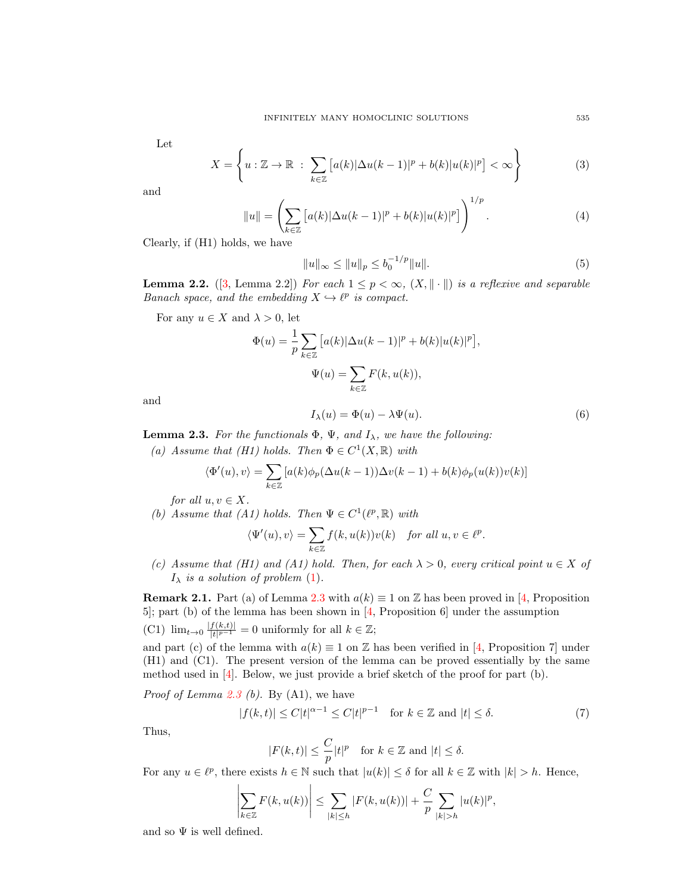Let

<span id="page-3-0"></span>
$$
X = \left\{ u : \mathbb{Z} \to \mathbb{R} \; : \; \sum_{k \in \mathbb{Z}} \left[ a(k) |\Delta u(k-1)|^p + b(k) |u(k)|^p \right] < \infty \right\} \tag{3}
$$

and

<span id="page-3-5"></span>
$$
||u|| = \left(\sum_{k \in \mathbb{Z}} \left[a(k)|\Delta u(k-1)|^p + b(k)|u(k)|^p\right]\right)^{1/p}.
$$
 (4)

Clearly, if (H1) holds, we have

<span id="page-3-6"></span>
$$
||u||_{\infty} \le ||u||_p \le b_0^{-1/p} ||u||. \tag{5}
$$

<span id="page-3-4"></span>**Lemma 2.2.** ([\[3,](#page-7-0) Lemma 2.2]) For each  $1 \leq p < \infty$ ,  $(X, \|\cdot\|)$  is a reflexive and separable Banach space, and the embedding  $X \hookrightarrow \ell^p$  is compact.

For any  $u \in X$  and  $\lambda > 0$ , let

$$
\Phi(u) = \frac{1}{p} \sum_{k \in \mathbb{Z}} \left[ a(k) |\Delta u(k-1)|^p + b(k) |u(k)|^p \right],
$$
  

$$
\Psi(u) = \sum_{k \in \mathbb{Z}} F(k, u(k)),
$$

and

<span id="page-3-1"></span>
$$
I_{\lambda}(u) = \Phi(u) - \lambda \Psi(u). \tag{6}
$$

<span id="page-3-2"></span>**Lemma 2.3.** For the functionals  $\Phi$ ,  $\Psi$ , and  $I_{\lambda}$ , we have the following:

(a) Assume that (H1) holds. Then  $\Phi \in C^1(X,\mathbb{R})$  with

$$
\langle \Phi'(u), v \rangle = \sum_{k \in \mathbb{Z}} \left[ a(k) \phi_p(\Delta u(k-1)) \Delta v(k-1) + b(k) \phi_p(u(k)) v(k) \right]
$$

for all  $u, v \in X$ .

(b) Assume that (A1) holds. Then  $\Psi \in C^1(\ell^p, \mathbb{R})$  with

$$
\langle \Psi'(u), v \rangle = \sum_{k \in \mathbb{Z}} f(k, u(k)) v(k) \quad \text{for all } u, v \in \ell^{p}.
$$

(c) Assume that (H1) and (A1) hold. Then, for each  $\lambda > 0$ , every critical point  $u \in X$  of  $I_{\lambda}$  is a solution of problem [\(1\)](#page-1-0).

**Remark 2.1.** Part (a) of Lemma [2.3](#page-3-2) with  $a(k) \equiv 1$  on Z has been proved in [\[4,](#page-7-2) Proposition 5]; part (b) of the lemma has been shown in [\[4,](#page-7-2) Proposition 6] under the assumption  $(C1)$   $\lim_{t\to 0} \frac{|f(k,t)|}{|t|^{p-1}}$  $\frac{f(k,t)|}{|t|^{p-1}} = 0$  uniformly for all  $k \in \mathbb{Z}$ ;

and part (c) of the lemma with  $a(k) \equiv 1$  on Z has been verified in [\[4,](#page-7-2) Proposition 7] under (H1) and (C1). The present version of the lemma can be proved essentially by the same method used in [\[4\]](#page-7-2). Below, we just provide a brief sketch of the proof for part (b).

*Proof of Lemma [2.3](#page-3-2) (b)*. By  $(A1)$ , we have

<span id="page-3-3"></span>
$$
|f(k,t)| \le C|t|^{\alpha - 1} \le C|t|^{p-1} \quad \text{for } k \in \mathbb{Z} \text{ and } |t| \le \delta. \tag{7}
$$

Thus,

$$
|F(k,t)| \le \frac{C}{p}|t|^p \quad \text{for } k \in \mathbb{Z} \text{ and } |t| \le \delta.
$$

For any  $u \in \ell^p$ , there exists  $h \in \mathbb{N}$  such that  $|u(k)| \leq \delta$  for all  $k \in \mathbb{Z}$  with  $|k| > h$ . Hence,

$$
\left|\sum_{k\in\mathbb{Z}}F(k,u(k))\right|\leq \sum_{|k|\leq h}|F(k,u(k))|+\frac{C}{p}\sum_{|k|>h}|u(k)|^p,
$$

and so  $\Psi$  is well defined.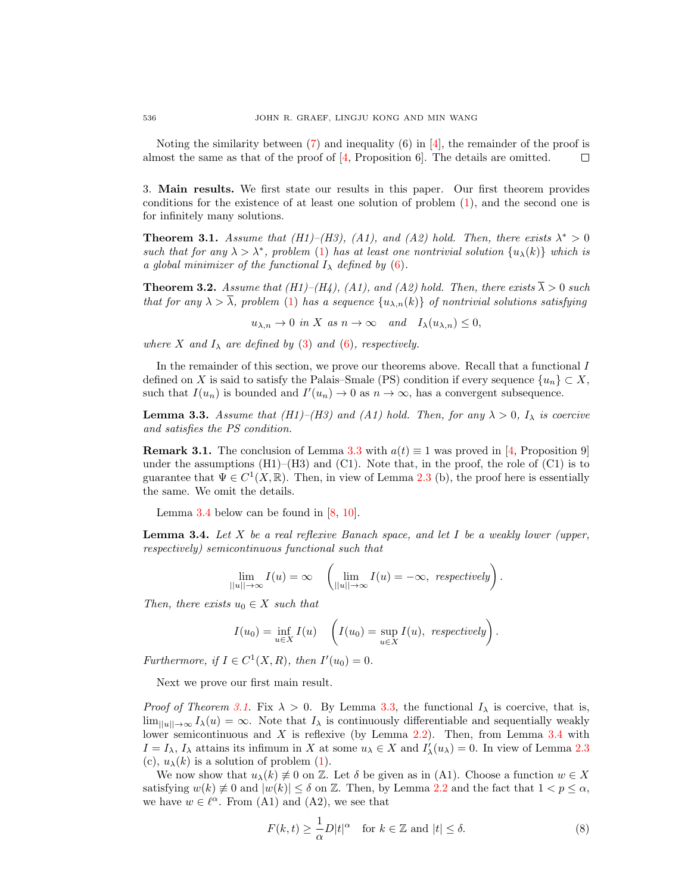Noting the similarity between  $(7)$  and inequality  $(6)$  in  $[4]$ , the remainder of the proof is almost the same as that of the proof of [\[4,](#page-7-2) Proposition 6]. The details are omitted.  $\Box$ 

<span id="page-4-0"></span>3. Main results. We first state our results in this paper. Our first theorem provides conditions for the existence of at least one solution of problem [\(1\)](#page-1-0), and the second one is for infinitely many solutions.

<span id="page-4-3"></span>**Theorem 3.1.** Assume that (H1)–(H3), (A1), and (A2) hold. Then, there exists  $\lambda^* > 0$ such that for any  $\lambda > \lambda^*$ , problem [\(1\)](#page-1-0) has at least one nontrivial solution  $\{u_\lambda(k)\}\$  which is a global minimizer of the functional  $I_{\lambda}$  defined by [\(6\)](#page-3-1).

<span id="page-4-5"></span>**Theorem 3.2.** Assume that (H1)–(H4), (A1), and (A2) hold. Then, there exists  $\overline{\lambda} > 0$  such that for any  $\lambda > \overline{\lambda}$ , problem [\(1\)](#page-1-0) has a sequence  $\{u_{\lambda,n}(k)\}\$  of nontrivial solutions satisfying

 $u_{\lambda,n} \to 0$  in X as  $n \to \infty$  and  $I_{\lambda}(u_{\lambda,n}) \leq 0$ ,

where X and  $I_{\lambda}$  are defined by [\(3\)](#page-3-0) and [\(6\)](#page-3-1), respectively.

In the remainder of this section, we prove our theorems above. Recall that a functional I defined on X is said to satisfy the Palais–Smale (PS) condition if every sequence  $\{u_n\} \subset X$ , such that  $I(u_n)$  is bounded and  $I'(u_n) \to 0$  as  $n \to \infty$ , has a convergent subsequence.

<span id="page-4-1"></span>**Lemma 3.3.** Assume that (H1)–(H3) and (A1) hold. Then, for any  $\lambda > 0$ ,  $I_{\lambda}$  is coercive and satisfies the PS condition.

**Remark 3.1.** The conclusion of Lemma [3.3](#page-4-1) with  $a(t) \equiv 1$  was proved in [\[4,](#page-7-2) Proposition 9] under the assumptions  $(H1)$ – $(H3)$  and  $(C1)$ . Note that, in the proof, the role of  $(C1)$  is to guarantee that  $\Psi \in C^1(X,\mathbb{R})$ . Then, in view of Lemma [2.3](#page-3-2) (b), the proof here is essentially the same. We omit the details.

Lemma [3.4](#page-4-2) below can be found in [\[8,](#page-7-8) [10\]](#page-7-9).

<span id="page-4-2"></span>**Lemma 3.4.** Let X be a real reflexive Banach space, and let I be a weakly lower (upper, respectively) semicontinuous functional such that

$$
\lim_{||u|| \to \infty} I(u) = \infty \quad \left( \lim_{||u|| \to \infty} I(u) = -\infty, \text{ respectively} \right).
$$

Then, there exists  $u_0 \in X$  such that

$$
I(u_0) = \inf_{u \in X} I(u) \quad \left( I(u_0) = \sup_{u \in X} I(u), \text{ respectively} \right).
$$

Furthermore, if  $I \in C^1(X, R)$ , then  $I'(u_0) = 0$ .

Next we prove our first main result.

*Proof of Theorem [3.1.](#page-4-3)* Fix  $\lambda > 0$ . By Lemma [3.3,](#page-4-1) the functional  $I_{\lambda}$  is coercive, that is,  $\lim_{\|u\|\to\infty} I_\lambda(u) = \infty$ . Note that  $I_\lambda$  is continuously differentiable and sequentially weakly lower semicontinuous and X is reflexive (by Lemma  $2.2$ ). Then, from Lemma  $3.4$  with  $I = I_{\lambda}, I_{\lambda}$  attains its infimum in X at some  $u_{\lambda} \in X$  and  $I'_{\lambda}(u_{\lambda}) = 0$ . In view of Lemma [2.3](#page-3-2) (c),  $u_{\lambda}(k)$  is a solution of problem [\(1\)](#page-1-0).

We now show that  $u_\lambda(k) \neq 0$  on Z. Let  $\delta$  be given as in (A1). Choose a function  $w \in X$ satisfying  $w(k) \neq 0$  and  $|w(k)| \leq \delta$  on Z. Then, by Lemma [2.2](#page-3-4) and the fact that  $1 < p \leq \alpha$ , we have  $w \in \ell^{\alpha}$ . From (A1) and (A2), we see that

<span id="page-4-4"></span>
$$
F(k,t) \ge \frac{1}{\alpha} D|t|^{\alpha} \quad \text{for } k \in \mathbb{Z} \text{ and } |t| \le \delta. \tag{8}
$$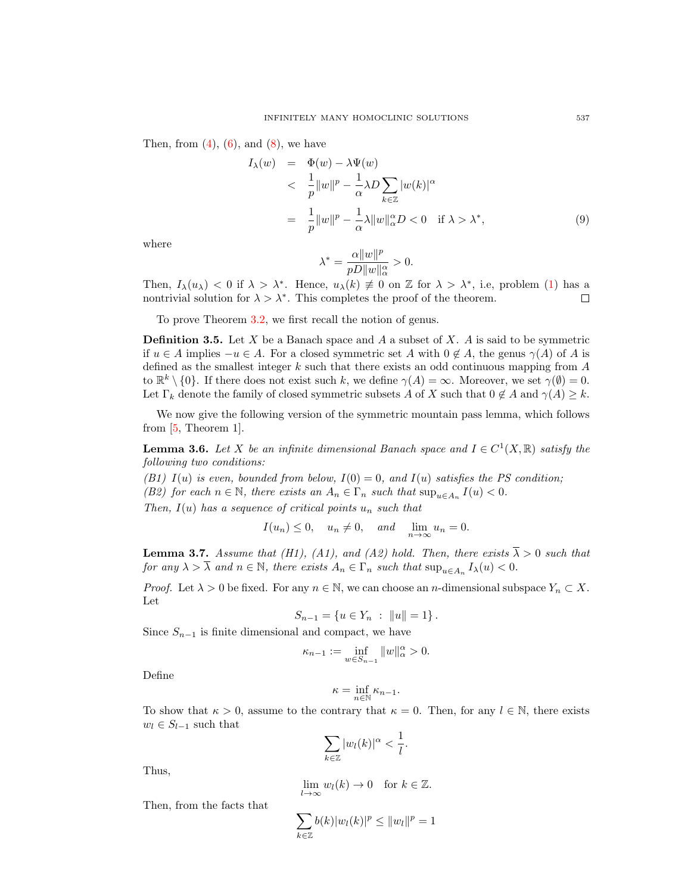Then, from  $(4)$ ,  $(6)$ , and  $(8)$ , we have

<span id="page-5-0"></span>
$$
I_{\lambda}(w) = \Phi(w) - \lambda \Psi(w)
$$
  

$$
< \frac{1}{p} ||w||^{p} - \frac{1}{\alpha} \lambda D \sum_{k \in \mathbb{Z}} |w(k)|^{\alpha}
$$
  

$$
= \frac{1}{p} ||w||^{p} - \frac{1}{\alpha} \lambda ||w||_{\alpha}^{\alpha} D < 0 \quad \text{if } \lambda > \lambda^{*},
$$
 (9)

where

$$
\lambda^* = \frac{\alpha \|w\|^p}{pD\|w\|_\alpha^\alpha} > 0.
$$

Then,  $I_{\lambda}(u_{\lambda}) < 0$  if  $\lambda > \lambda^*$ . Hence,  $u_{\lambda}(k) \neq 0$  on Z for  $\lambda > \lambda^*$ , i.e, problem [\(1\)](#page-1-0) has a nontrivial solution for  $\lambda > \lambda^*$ . This completes the proof of the theorem.  $\Box$ 

To prove Theorem [3.2,](#page-4-5) we first recall the notion of genus.

**Definition 3.5.** Let  $X$  be a Banach space and  $A$  a subset of  $X$ .  $A$  is said to be symmetric if  $u \in A$  implies  $-u \in A$ . For a closed symmetric set A with  $0 \notin A$ , the genus  $\gamma(A)$  of A is defined as the smallest integer  $k$  such that there exists an odd continuous mapping from  $A$ to  $\mathbb{R}^k \setminus \{0\}$ . If there does not exist such k, we define  $\gamma(A) = \infty$ . Moreover, we set  $\gamma(\emptyset) = 0$ . Let  $\Gamma_k$  denote the family of closed symmetric subsets A of X such that  $0 \notin A$  and  $\gamma(A) \geq k$ .

We now give the following version of the symmetric mountain pass lemma, which follows from [\[5,](#page-7-10) Theorem 1].

<span id="page-5-2"></span>**Lemma 3.6.** Let X be an infinite dimensional Banach space and  $I \in C^1(X,\mathbb{R})$  satisfy the following two conditions:

(B1) I(u) is even, bounded from below,  $I(0) = 0$ , and  $I(u)$  satisfies the PS condition;

(B2) for each  $n \in \mathbb{N}$ , there exists an  $A_n \in \Gamma_n$  such that  $\sup_{u \in A_n} I(u) < 0$ .

Then,  $I(u)$  has a sequence of critical points  $u_n$  such that

$$
I(u_n) \le 0
$$
,  $u_n \ne 0$ , and  $\lim_{n \to \infty} u_n = 0$ .

<span id="page-5-1"></span>**Lemma 3.7.** Assume that (H1), (A1), and (A2) hold. Then, there exists  $\overline{\lambda} > 0$  such that for any  $\lambda > \overline{\lambda}$  and  $n \in \mathbb{N}$ , there exists  $A_n \in \Gamma_n$  such that  $\sup_{u \in A_n} I_{\lambda}(u) < 0$ .

*Proof.* Let  $\lambda > 0$  be fixed. For any  $n \in \mathbb{N}$ , we can choose an *n*-dimensional subspace  $Y_n \subset X$ . Let

$$
S_{n-1} = \{ u \in Y_n : ||u|| = 1 \}.
$$

Since  $S_{n-1}$  is finite dimensional and compact, we have

$$
\kappa_{n-1} := \inf_{w \in S_{n-1}} \|w\|_{\alpha}^{\alpha} > 0.
$$

Define

$$
\kappa = \inf_{n \in \mathbb{N}} \kappa_{n-1}.
$$

To show that  $\kappa > 0$ , assume to the contrary that  $\kappa = 0$ . Then, for any  $l \in \mathbb{N}$ , there exists  $w_l \in S_{l-1}$  such that

$$
\sum_{k\in\mathbb{Z}}|w_l(k)|^\alpha<\frac{1}{l}.
$$

Thus,

$$
\lim_{l \to \infty} w_l(k) \to 0 \quad \text{for } k \in \mathbb{Z}.
$$

Then, from the facts that

$$
\sum_{k\in\mathbb{Z}} b(k)|w_l(k)|^p \leq ||w_l||^p = 1
$$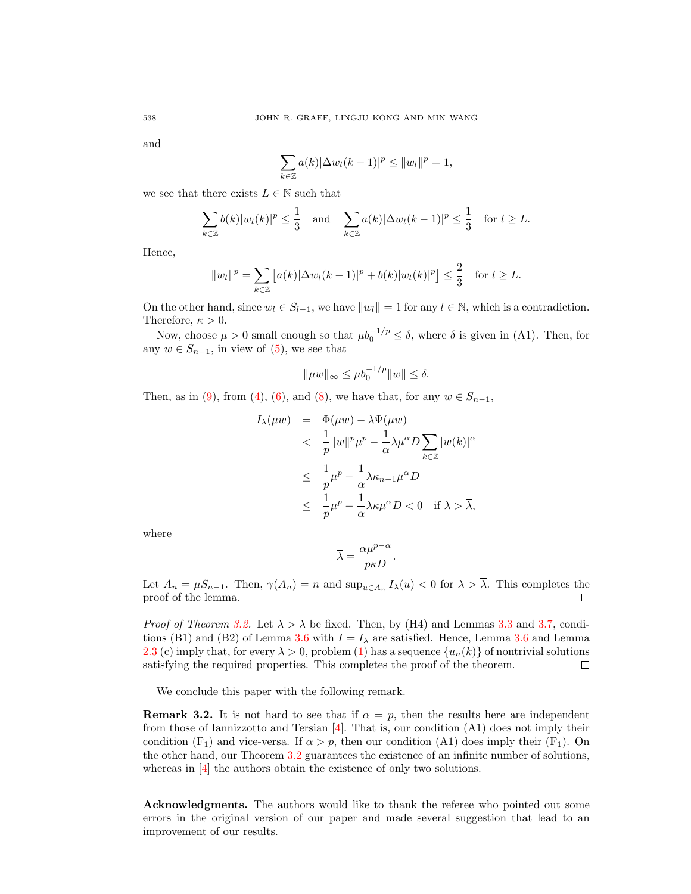and

$$
\sum_{k\in\mathbb{Z}} a(k)|\Delta w_l(k-1)|^p \leq ||w_l||^p = 1,
$$

we see that there exists  $L \in \mathbb{N}$  such that

$$
\sum_{k\in\mathbb{Z}} b(k)|w_l(k)|^p \leq \frac{1}{3} \quad \text{and} \quad \sum_{k\in\mathbb{Z}} a(k)|\Delta w_l(k-1)|^p \leq \frac{1}{3} \quad \text{for } l \geq L.
$$

Hence,

$$
||w_l||^p = \sum_{k \in \mathbb{Z}} [a(k)|\Delta w_l(k-1)|^p + b(k)|w_l(k)|^p] \le \frac{2}{3}
$$
 for  $l \ge L$ .

On the other hand, since  $w_l \in S_{l-1}$ , we have  $||w_l|| = 1$  for any  $l \in \mathbb{N}$ , which is a contradiction. Therefore,  $\kappa > 0$ .

Now, choose  $\mu > 0$  small enough so that  $\mu b_0^{-1/p} \leq \delta$ , where  $\delta$  is given in (A1). Then, for any  $w \in S_{n-1}$ , in view of [\(5\)](#page-3-6), we see that

$$
\|\mu w\|_{\infty} \leq \mu b_0^{-1/p} \|w\| \leq \delta.
$$

Then, as in [\(9\)](#page-5-0), from [\(4\)](#page-3-5), [\(6\)](#page-3-1), and [\(8\)](#page-4-4), we have that, for any  $w \in S_{n-1}$ ,

$$
I_{\lambda}(\mu w) = \Phi(\mu w) - \lambda \Psi(\mu w)
$$
  

$$
< \frac{1}{p} ||w||^{p} \mu^{p} - \frac{1}{\alpha} \lambda \mu^{\alpha} D \sum_{k \in \mathbb{Z}} |w(k)|^{\alpha}
$$
  

$$
\leq \frac{1}{p} \mu^{p} - \frac{1}{\alpha} \lambda \kappa_{n-1} \mu^{\alpha} D
$$
  

$$
\leq \frac{1}{p} \mu^{p} - \frac{1}{\alpha} \lambda \kappa \mu^{\alpha} D < 0 \quad \text{if } \lambda > \overline{\lambda},
$$

where

$$
\overline{\lambda} = \frac{\alpha \mu^{p-\alpha}}{p\kappa D}.
$$

Let  $A_n = \mu S_{n-1}$ . Then,  $\gamma(A_n) = n$  and  $\sup_{u \in A_n} I_\lambda(u) < 0$  for  $\lambda > \lambda$ . This completes the proof of the lemma.  $\Box$ 

*Proof of Theorem [3.2.](#page-4-5)* Let  $\lambda > \overline{\lambda}$  be fixed. Then, by (H4) and Lemmas [3.3](#page-4-1) and [3.7,](#page-5-1) condi-tions (B1) and (B2) of Lemma [3.6](#page-5-2) with  $I = I_{\lambda}$  are satisfied. Hence, Lemma 3.6 and Lemma [2.3](#page-3-2) (c) imply that, for every  $\lambda > 0$ , problem [\(1\)](#page-1-0) has a sequence  $\{u_n(k)\}\$  of nontrivial solutions satisfying the required properties. This completes the proof of the theorem.  $\Box$ 

We conclude this paper with the following remark.

**Remark 3.2.** It is not hard to see that if  $\alpha = p$ , then the results here are independent from those of Iannizzotto and Tersian [\[4\]](#page-7-2). That is, our condition (A1) does not imply their condition  $(F_1)$  and vice-versa. If  $\alpha > p$ , then our condition (A1) does imply their  $(F_1)$ . On the other hand, our Theorem [3.2](#page-4-5) guarantees the existence of an infinite number of solutions, whereas in [\[4\]](#page-7-2) the authors obtain the existence of only two solutions.

Acknowledgments. The authors would like to thank the referee who pointed out some errors in the original version of our paper and made several suggestion that lead to an improvement of our results.